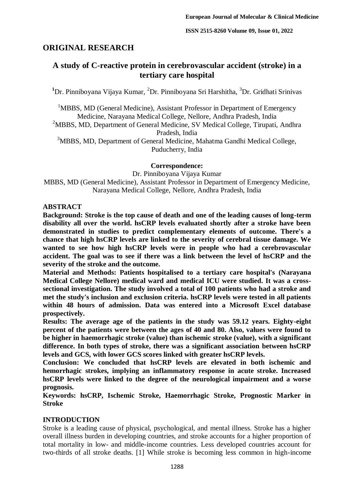# **ORIGINAL RESEARCH**

# **A study of C-reactive protein in cerebrovascular accident (stroke) in a tertiary care hospital**

<sup>1</sup>Dr. Pinniboyana Vijaya Kumar, <sup>2</sup>Dr. Pinniboyana Sri Harshitha, <sup>3</sup>Dr. Gridhati Srinivas

<sup>1</sup>MBBS, MD (General Medicine), Assistant Professor in Department of Emergency Medicine, Narayana Medical College, Nellore, Andhra Pradesh, India

<sup>2</sup>MBBS, MD, Department of General Medicine, SV Medical College, Tirupati, Andhra Pradesh, India

<sup>3</sup>MBBS, MD, Department of General Medicine, Mahatma Gandhi Medical College, Puducherry, India

## **Correspondence:**

Dr. Pinniboyana Vijaya Kumar

MBBS, MD (General Medicine), Assistant Professor in Department of Emergency Medicine, Narayana Medical College, Nellore, Andhra Pradesh, India

## **ABSTRACT**

**Background: Stroke is the top cause of death and one of the leading causes of long-term disability all over the world. hsCRP levels evaluated shortly after a stroke have been demonstrated in studies to predict complementary elements of outcome. There's a chance that high hsCRP levels are linked to the severity of cerebral tissue damage. We wanted to see how high hsCRP levels were in people who had a cerebrovascular accident. The goal was to see if there was a link between the level of hsCRP and the severity of the stroke and the outcome.**

**Material and Methods: Patients hospitalised to a tertiary care hospital's (Narayana Medical College Nellore) medical ward and medical ICU were studied. It was a crosssectional investigation. The study involved a total of 100 patients who had a stroke and met the study's inclusion and exclusion criteria. hsCRP levels were tested in all patients within 48 hours of admission. Data was entered into a Microsoft Excel database prospectively.**

**Results: The average age of the patients in the study was 59.12 years. Eighty-eight percent of the patients were between the ages of 40 and 80. Also, values were found to be higher in haemorrhagic stroke (value) than ischemic stroke (value), with a significant difference. In both types of stroke, there was a significant association between hsCRP levels and GCS, with lower GCS scores linked with greater hsCRP levels.**

**Conclusion: We concluded that hsCRP levels are elevated in both ischemic and hemorrhagic strokes, implying an inflammatory response in acute stroke. Increased hsCRP levels were linked to the degree of the neurological impairment and a worse prognosis.**

**Keywords: hsCRP, Ischemic Stroke, Haemorrhagic Stroke, Prognostic Marker in Stroke** 

## **INTRODUCTION**

Stroke is a leading cause of physical, psychological, and mental illness. Stroke has a higher overall illness burden in developing countries, and stroke accounts for a higher proportion of total mortality in low- and middle-income countries. Less developed countries account for two-thirds of all stroke deaths. [1] While stroke is becoming less common in high-income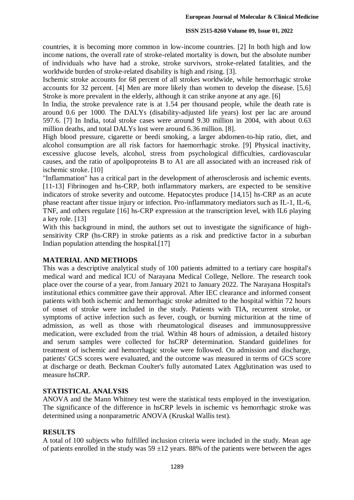#### **ISSN 2515-8260 Volume 09, Issue 01, 2022**

countries, it is becoming more common in low-income countries. [2] In both high and low income nations, the overall rate of stroke-related mortality is down, but the absolute number of individuals who have had a stroke, stroke survivors, stroke-related fatalities, and the worldwide burden of stroke-related disability is high and rising. [3].

Ischemic stroke accounts for 68 percent of all strokes worldwide, while hemorrhagic stroke accounts for 32 percent. [4] Men are more likely than women to develop the disease. [5,6] Stroke is more prevalent in the elderly, although it can strike anyone at any age. [6]

In India, the stroke prevalence rate is at 1.54 per thousand people, while the death rate is around 0.6 per 1000. The DALYs (disability-adjusted life years) lost per lac are around 597.6. [7] In India, total stroke cases were around 9.30 million in 2004, with about 0.63 million deaths, and total DALYs lost were around 6.36 million. [8].

High blood pressure, cigarette or beedi smoking, a larger abdomen-to-hip ratio, diet, and alcohol consumption are all risk factors for haemorrhagic stroke. [9] Physical inactivity, excessive glucose levels, alcohol, stress from psychological difficulties, cardiovascular causes, and the ratio of apolipoproteins B to A1 are all associated with an increased risk of ischemic stroke. [10]

"Inflammation" has a critical part in the development of atherosclerosis and ischemic events. [11-13] Fibrinogen and hs-CRP, both inflammatory markers, are expected to be sensitive indicators of stroke severity and outcome. Hepatocytes produce [14,15] hs-CRP as an acute phase reactant after tissue injury or infection. Pro-inflammatory mediators such as IL-1, IL-6, TNF, and others regulate [16] hs-CRP expression at the transcription level, with IL6 playing a key role. [13]

With this background in mind, the authors set out to investigate the significance of highsensitivity CRP (hs-CRP) in stroke patients as a risk and predictive factor in a suburban Indian population attending the hospital.[17]

#### **MATERIAL AND METHODS**

This was a descriptive analytical study of 100 patients admitted to a tertiary care hospital's medical ward and medical ICU of Narayana Medical College, Nellore. The research took place over the course of a year, from January 2021 to January 2022. The Narayana Hospital's institutional ethics committee gave their approval. After IEC clearance and informed consent patients with both ischemic and hemorrhagic stroke admitted to the hospital within 72 hours of onset of stroke were included in the study. Patients with TIA, recurrent stroke, or symptoms of active infection such as fever, cough, or burning micturition at the time of admission, as well as those with rheumatological diseases and immunosuppressive medication, were excluded from the trial. Within 48 hours of admission, a detailed history and serum samples were collected for hsCRP determination. Standard guidelines for treatment of ischemic and hemorrhagic stroke were followed. On admission and discharge, patients' GCS scores were evaluated, and the outcome was measured in terms of GCS score at discharge or death. Beckman Coulter's fully automated Latex Agglutination was used to measure hsCRP.

## **STATISTICAL ANALYSIS**

ANOVA and the Mann Whitney test were the statistical tests employed in the investigation. The significance of the difference in hsCRP levels in ischemic vs hemorrhagic stroke was determined using a nonparametric ANOVA (Kruskal Wallis test).

## **RESULTS**

A total of 100 subjects who fulfilled inclusion criteria were included in the study. Mean age of patients enrolled in the study was  $59 \pm 12$  years. 88% of the patients were between the ages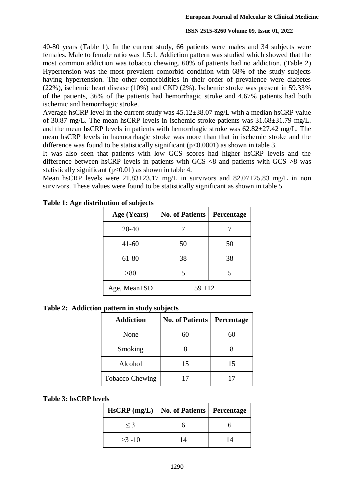#### **ISSN 2515-8260 Volume 09, Issue 01, 2022**

40-80 years (Table 1). In the current study, 66 patients were males and 34 subjects were females. Male to female ratio was 1.5:1. Addiction pattern was studied which showed that the most common addiction was tobacco chewing. 60% of patients had no addiction. (Table 2) Hypertension was the most prevalent comorbid condition with 68% of the study subjects having hypertension. The other comorbidities in their order of prevalence were diabetes (22%), ischemic heart disease (10%) and CKD (2%). Ischemic stroke was present in 59.33% of the patients, 36% of the patients had hemorrhagic stroke and 4.67% patients had both ischemic and hemorrhagic stroke.

Average hsCRP level in the current study was 45.12±38.07 mg/L with a median hsCRP value of 30.87 mg/L. The mean hsCRP levels in ischemic stroke patients was 31.68±31.79 mg/L. and the mean hsCRP levels in patients with hemorrhagic stroke was 62.82±27.42 mg/L. The mean hsCRP levels in haemorrhagic stroke was more than that in ischemic stroke and the difference was found to be statistically significant (p<0.0001) as shown in table 3.

It was also seen that patients with low GCS scores had higher hsCRP levels and the difference between hsCRP levels in patients with GCS <8 and patients with GCS >8 was statistically significant  $(p<0.01)$  as shown in table 4.

Mean hsCRP levels were  $21.83\pm 23.17$  mg/L in survivors and  $82.07\pm 25.83$  mg/L in non survivors. These values were found to be statistically significant as shown in table 5.

| Age (Years)        | <b>No. of Patients</b> | Percentage |
|--------------------|------------------------|------------|
| $20 - 40$          |                        |            |
| $41 - 60$          | 50                     | 50         |
| 61-80              | 38                     | 38         |
| > 80               | 5                      |            |
| Age, Mean $\pm SD$ | $59 + 12$              |            |

**Table 1: Age distribution of subjects**

**Table 2: Addiction pattern in study subjects**

| <b>Addiction</b>       | v<br><b>No. of Patients</b> | Percentage |
|------------------------|-----------------------------|------------|
| None                   | 60                          | 60         |
| Smoking                |                             |            |
| Alcohol                | 15                          | 15         |
| <b>Tobacco Chewing</b> |                             |            |

#### **Table 3: hsCRP levels**

|           | HsCRP (mg/L)   No. of Patients   Percentage |  |
|-----------|---------------------------------------------|--|
| $\leq$ 3  |                                             |  |
| $>3 - 10$ | 14                                          |  |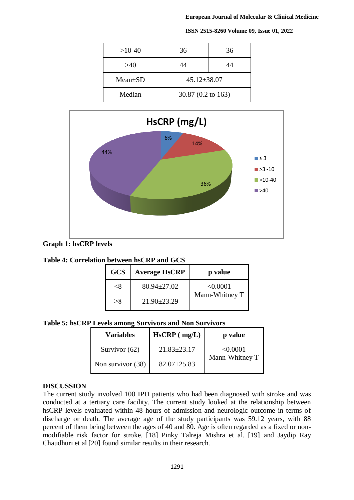#### **European Journal of Molecular & Clinical Medicine**

**ISSN 2515-8260 Volume 09, Issue 01, 2022**

 $>10-40$  36 36  $>40$  44 44 44 Mean±SD 1 45.12±38.07 Median 30.87 (0.2 to 163)





**Graph 1: hsCRP levels**

| Table 4: Correlation between hsCRP and GCS |  |
|--------------------------------------------|--|
|--------------------------------------------|--|

| <b>GCS</b> | <b>Average HsCRP</b> | p value        |
|------------|----------------------|----------------|
| <×         | $80.94 \pm 27.02$    | < 0.0001       |
| $>\!\!8$   | $21.90 \pm 23.29$    | Mann-Whitney T |

**Table 5: hsCRP Levels among Survivors and Non Survivors**

| <b>Variables</b>  | $HsCRP$ ( $mg/L$ ) | p value        |
|-------------------|--------------------|----------------|
| Survivor (62)     | $21.83 \pm 23.17$  | < 0.0001       |
| Non survivor (38) | $82.07 \pm 25.83$  | Mann-Whitney T |

## **DISCUSSION**

The current study involved 100 IPD patients who had been diagnosed with stroke and was conducted at a tertiary care facility. The current study looked at the relationship between hsCRP levels evaluated within 48 hours of admission and neurologic outcome in terms of discharge or death. The average age of the study participants was 59.12 years, with 88 percent of them being between the ages of 40 and 80. Age is often regarded as a fixed or nonmodifiable risk factor for stroke. [18] Pinky Talreja Mishra et al. [19] and Jaydip Ray Chaudhuri et al [20] found similar results in their research.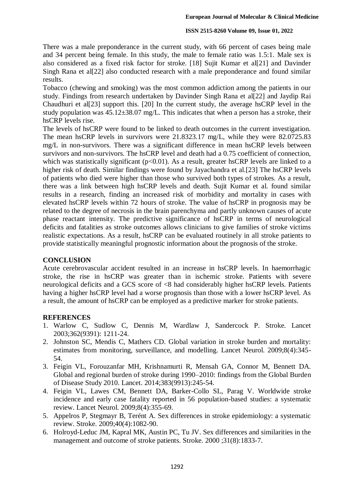#### **ISSN 2515-8260 Volume 09, Issue 01, 2022**

There was a male preponderance in the current study, with 66 percent of cases being male and 34 percent being female. In this study, the male to female ratio was 1.5:1. Male sex is also considered as a fixed risk factor for stroke. [18] Sujit Kumar et al[21] and Davinder Singh Rana et al[22] also conducted research with a male preponderance and found similar results.

Tobacco (chewing and smoking) was the most common addiction among the patients in our study. Findings from research undertaken by Davinder Singh Rana et al[22] and Jaydip Rai Chaudhuri et al[23] support this. [20] In the current study, the average hsCRP level in the study population was  $45.12 \pm 38.07$  mg/L. This indicates that when a person has a stroke, their hsCRP levels rise.

The levels of hsCRP were found to be linked to death outcomes in the current investigation. The mean hsCRP levels in survivors were 21.8323.17 mg/L, while they were 82.0725.83 mg/L in non-survivors. There was a significant difference in mean hsCRP levels between survivors and non-survivors. The hsCRP level and death had a 0.75 coefficient of connection, which was statistically significant ( $p<0.01$ ). As a result, greater hsCRP levels are linked to a higher risk of death. Similar findings were found by Jayachandra et al.[23] The hsCRP levels of patients who died were higher than those who survived both types of strokes. As a result, there was a link between high hsCRP levels and death. Sujit Kumar et al. found similar results in a research, finding an increased risk of morbidity and mortality in cases with elevated hsCRP levels within 72 hours of stroke. The value of hsCRP in prognosis may be related to the degree of necrosis in the brain parenchyma and partly unknown causes of acute phase reactant intensity. The predictive significance of hsCRP in terms of neurological deficits and fatalities as stroke outcomes allows clinicians to give families of stroke victims realistic expectations. As a result, hsCRP can be evaluated routinely in all stroke patients to provide statistically meaningful prognostic information about the prognosis of the stroke.

#### **CONCLUSION**

Acute cerebrovascular accident resulted in an increase in hsCRP levels. In haemorrhagic stroke, the rise in hsCRP was greater than in ischemic stroke. Patients with severe neurological deficits and a GCS score of <8 had considerably higher hsCRP levels. Patients having a higher hsCRP level had a worse prognosis than those with a lower hsCRP level. As a result, the amount of hsCRP can be employed as a predictive marker for stroke patients.

## **REFERENCES**

- 1. Warlow C, Sudlow C, Dennis M, Wardlaw J, Sandercock P. Stroke. Lancet 2003;362(9391): 1211-24.
- 2. Johnston SC, Mendis C, Mathers CD. Global variation in stroke burden and mortality: estimates from monitoring, surveillance, and modelling. Lancet Neurol. 2009;8(4):345- 54.
- 3. Feigin VL, Forouzanfar MH, Krishnamurti R, Mensah GA, Connor M, Bennett DA. Global and regional burden of stroke during 1990–2010: findings from the Global Burden of Disease Study 2010. Lancet. 2014;383(9913):245-54.
- 4. Feigin VL, Lawes CM, Bennett DA, Barker-Collo SL, Parag V. Worldwide stroke incidence and early case fatality reported in 56 population-based studies: a systematic review. Lancet Neurol. 2009;8(4):355-69.
- 5. Appelros P, Stegmayr B, Terént A. Sex differences in stroke epidemiology: a systematic review. Stroke. 2009;40(4):1082-90.
- 6. Holroyd-Leduc JM, Kapral MK, Austin PC, Tu JV. Sex differences and similarities in the management and outcome of stroke patients. Stroke. 2000 ;31(8):1833-7.